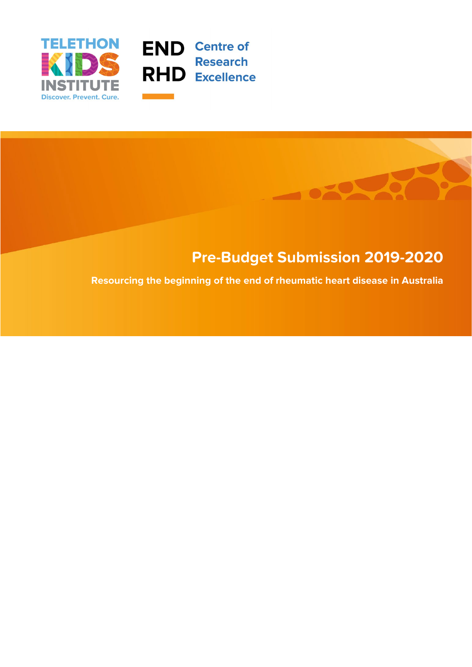



# **Pre-Budget Submission 2019-2020**

**Resourcing the beginning of the end of rheumatic heart disease in Australia**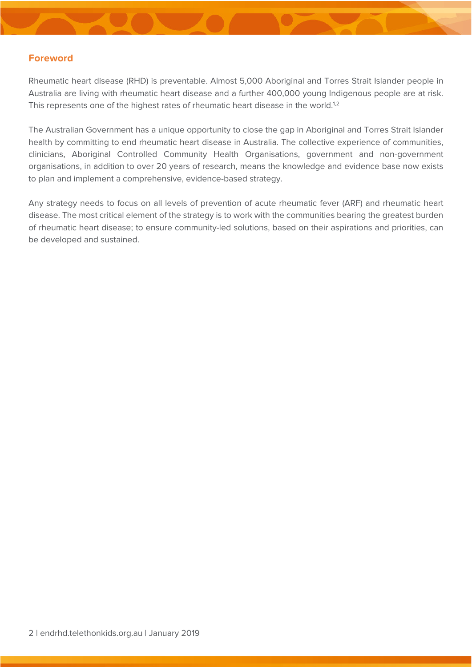# **Foreword**

Rheumatic heart disease (RHD) is preventable. Almost 5,000 Aboriginal and Torres Strait Islander people in Australia are living with rheumatic heart disease and a further 400,000 young Indigenous people are at risk. This represents one of the highest rates of rheumatic heart disease in the world.<sup>1,2</sup>

The Australian Government has a unique opportunity to close the gap in Aboriginal and Torres Strait Islander health by committing to end rheumatic heart disease in Australia. The collective experience of communities, clinicians, Aboriginal Controlled Community Health Organisations, government and non-government organisations, in addition to over 20 years of research, means the knowledge and evidence base now exists to plan and implement a comprehensive, evidence-based strategy.

Any strategy needs to focus on all levels of prevention of acute rheumatic fever (ARF) and rheumatic heart disease. The most critical element of the strategy is to work with the communities bearing the greatest burden of rheumatic heart disease; to ensure community-led solutions, based on their aspirations and priorities, can be developed and sustained.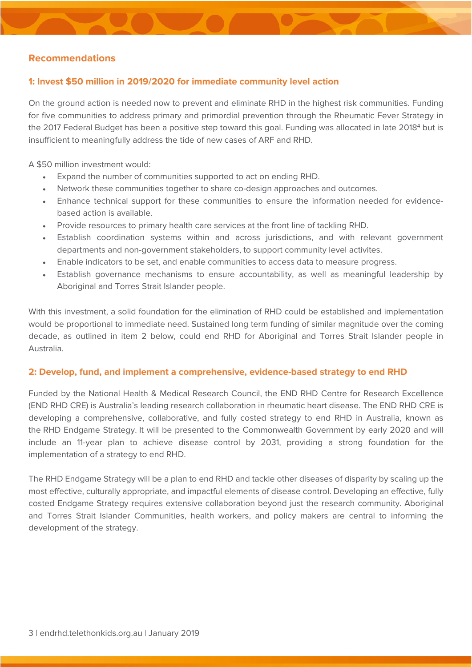# **Recommendations**

# **1: Invest \$50 million in 2019/2020 for immediate community level action**

On the ground action is needed now to prevent and eliminate RHD in the highest risk communities. Funding for five communities to address primary and primordial prevention through the Rheumatic Fever Strategy in the 2017 Federal Budget has been a positive step toward this goal. Funding was allocated in late 2018<sup>4</sup> but is insufficient to meaningfully address the tide of new cases of ARF and RHD.

A \$50 million investment would:

- Expand the number of communities supported to act on ending RHD.
- Network these communities together to share co-design approaches and outcomes.
- Enhance technical support for these communities to ensure the information needed for evidencebased action is available.
- Provide resources to primary health care services at the front line of tackling RHD.
- Establish coordination systems within and across jurisdictions, and with relevant government departments and non-government stakeholders, to support community level activites.
- Enable indicators to be set, and enable communities to access data to measure progress.
- Establish governance mechanisms to ensure accountability, as well as meaningful leadership by Aboriginal and Torres Strait Islander people.

With this investment, a solid foundation for the elimination of RHD could be established and implementation would be proportional to immediate need. Sustained long term funding of similar magnitude over the coming decade, as outlined in item 2 below, could end RHD for Aboriginal and Torres Strait Islander people in Australia.

#### **2: Develop, fund, and implement a comprehensive, evidence-based strategy to end RHD**

Funded by the National Health & Medical Research Council, the END RHD Centre for Research Excellence (END RHD CRE) is Australia's leading research collaboration in rheumatic heart disease. The END RHD CRE is developing a comprehensive, collaborative, and fully costed strategy to end RHD in Australia, known as the RHD [Endgame Strategy](https://endrhd.telethonkids.org.au/our-research/the-endgame-strategy/). It will be presented to the Commonwealth Government by early 2020 and will include an 11-year plan to achieve disease control by 2031, providing a strong foundation for the implementation of a strategy to end RHD.

The RHD Endgame Strategy will be a plan to end RHD and tackle other diseases of disparity by scaling up the most effective, culturally appropriate, and impactful elements of disease control. Developing an effective, fully costed Endgame Strategy requires extensive collaboration beyond just the research community. Aboriginal and Torres Strait Islander Communities, health workers, and policy makers are central to informing the development of the strategy.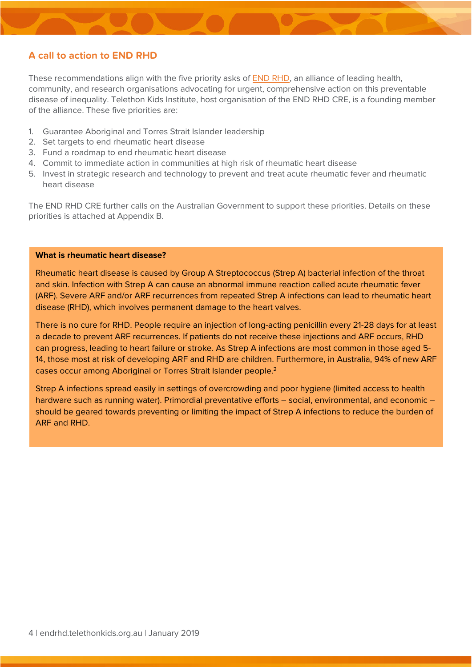# **A call to action to END RHD**

These recommendations align with the five priority asks of [END RHD,](http://www.endrhd.org.au/) an alliance of leading health, community, and research organisations advocating for urgent, comprehensive action on this preventable disease of inequality. Telethon Kids Institute, host organisation of the END RHD CRE, is a founding member of the alliance. These five priorities are:

- 1. Guarantee Aboriginal and Torres Strait Islander leadership
- 2. Set targets to end rheumatic heart disease
- 3. Fund a roadmap to end rheumatic heart disease
- 4. Commit to immediate action in communities at high risk of rheumatic heart disease
- 5. Invest in strategic research and technology to prevent and treat acute rheumatic fever and rheumatic heart disease

The END RHD CRE further calls on the Australian Government to support these priorities. Details on these priorities is attached at Appendix B.

#### **What is rheumatic heart disease?**

Rheumatic heart disease is caused by Group A Streptococcus (Strep A) bacterial infection of the throat and skin. Infection with Strep A can cause an abnormal immune reaction called acute rheumatic fever (ARF). Severe ARF and/or ARF recurrences from repeated Strep A infections can lead to rheumatic heart disease (RHD), which involves permanent damage to the heart valves.

There is no cure for RHD. People require an injection of long-acting penicillin every 21-28 days for at least a decade to prevent ARF recurrences. If patients do not receive these injections and ARF occurs, RHD can progress, leading to heart failure or stroke. As Strep A infections are most common in those aged 5- 14, those most at risk of developing ARF and RHD are children. Furthermore, in Australia, 94% of new ARF cases occur among Aboriginal or Torres Strait Islander people.2

Strep A infections spread easily in settings of overcrowding and poor hygiene (limited access to health hardware such as running water). Primordial preventative efforts – social, environmental, and economic – should be geared towards preventing or limiting the impact of Strep A infections to reduce the burden of ARF and RHD.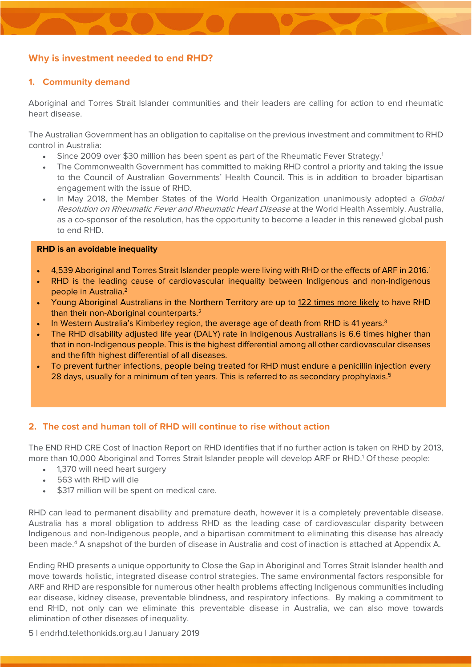# **Why is investment needed to end RHD?**

# **1. Community demand**

Aboriginal and Torres Strait Islander communities and their leaders are calling for action to end rheumatic heart disease.

The Australian Government has an obligation to capitalise on the previous investment and commitment to RHD control in Australia:

- Since 2009 over \$30 million has been spent as part of the Rheumatic Fever Strategy.1
- The Commonwealth Government has committed to making RHD control a priority and taking the issue to the Council of Australian Governments' Health Council. This is in addition to broader bipartisan engagement with the issue of RHD.
- In May 2018, the Member States of the World Health Organization unanimously adopted a *Global* Resolution on Rheumatic Fever and Rheumatic Heart Disease at the World Health Assembly. Australia, as a co-sponsor of the resolution, has the opportunity to become a leader in this renewed global push to end RHD.

#### **RHD is an avoidable inequality**

- 4,539 Aboriginal and Torres Strait Islander people were living with RHD or the effects of ARF in 2016.1
- RHD is the leading cause of cardiovascular inequality between Indigenous and non-Indigenous people in Australia.2
- Young Aboriginal Australians in the Northern Territory are up to 122 times more likely to have RHD than their non-Aboriginal counterparts.2
- In Western Australia's Kimberley region, the average age of death from RHD is 41 years.<sup>3</sup>
- The RHD disability adjusted life year (DALY) rate in Indigenous Australians is 6.6 times higher than that in non-Indigenous people. This is the highest differential among all other cardiovascular diseases and the fifth highest differential of all diseases.
- To prevent further infections, people being treated for RHD must endure a penicillin injection every 28 days, usually for a minimum of ten years. This is referred to as secondary prophylaxis.<sup>5</sup>

## **2. The cost and human toll of RHD will continue to rise without action**

The END RHD CRE Cost of Inaction Report on RHD identifies that if no further action is taken on RHD by 2013, more than 10,000 Aboriginal and Torres Strait Islander people will develop ARF or RHD.1 Of these people:

- 1,370 will need heart surgery
- 563 with RHD will die
- \$317 million will be spent on medical care.

RHD can lead to permanent disability and premature death, however it is a completely preventable disease. Australia has a moral obligation to address RHD as the leading case of cardiovascular disparity between Indigenous and non-Indigenous people, and a bipartisan commitment to eliminating this disease has already been made.4 A snapshot of the burden of disease in Australia and cost of inaction is attached at Appendix A.

Ending RHD presents a unique opportunity to Close the Gap in Aboriginal and Torres Strait Islander health and move towards holistic, integrated disease control strategies. The same environmental factors responsible for ARF and RHD are responsible for numerous other health problems affecting Indigenous communities including ear disease, kidney disease, preventable blindness, and respiratory infections. By making a commitment to end RHD, not only can we eliminate this preventable disease in Australia, we can also move towards elimination of other diseases of inequality.

5 | endrhd.telethonkids.org.au | January 2019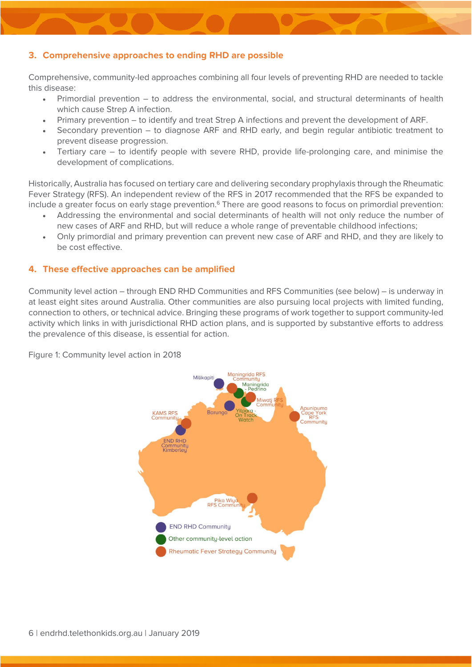# **3. Comprehensive approaches to ending RHD are possible**

Comprehensive, community-led approaches combining all four levels of preventing RHD are needed to tackle this disease:

- Primordial prevention to address the environmental, social, and structural determinants of health which cause Strep A infection.
- Primary prevention to identify and treat Strep A infections and prevent the development of ARF.
- Secondary prevention to diagnose ARF and RHD early, and begin regular antibiotic treatment to prevent disease progression.
- Tertiary care to identify people with severe RHD, provide life-prolonging care, and minimise the development of complications.

Historically, Australia has focused on tertiary care and delivering secondary prophylaxis through the Rheumatic Fever Strategy (RFS). An independent review of the RFS in 2017 recommended that the RFS be expanded to include a greater focus on early stage prevention.<sup>6</sup> There are good reasons to focus on primordial prevention:

- Addressing the environmental and social determinants of health will not only reduce the number of new cases of ARF and RHD, but will reduce a whole range of preventable childhood infections;
- Only primordial and primary prevention can prevent new case of ARF and RHD, and they are likely to be cost effective.

## **4. These effective approaches can be amplified**

Community level action – through END RHD Communities and RFS Communities (see below) – is underway in at least eight sites around Australia. Other communities are also pursuing local projects with limited funding, connection to others, or technical advice. Bringing these programs of work together to support community-led activity which links in with jurisdictional RHD action plans, and is supported by substantive efforts to address the prevalence of this disease, is essential for action.



Figure 1: Community level action in 2018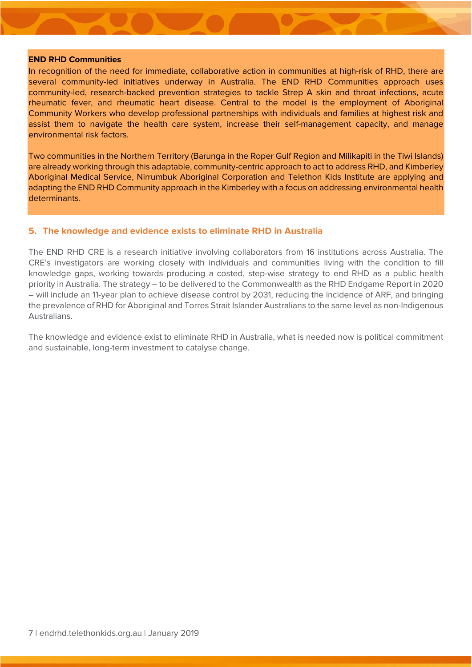#### **END RHD Communities**

In recognition of the need for immediate, collaborative action in communities at high-risk of RHD, there are several community-led initiatives underway in Australia. The END RHD Communities approach uses community-led, research-backed prevention strategies to tackle Strep A skin and throat infections, acute rheumatic fever, and rheumatic heart disease. Central to the model is the employment of Aboriginal Community Workers who develop professional partnerships with individuals and families at highest risk and assist them to navigate the health care system, increase their self-management capacity, and manage environmental risk factors.

Two communities in the Northern Territory (Barunga in the Roper Gulf Region and Milikapiti in the Tiwi Islands) are already working through this adaptable, community-centric approach to act to address RHD, and Kimberley Aboriginal Medical Service, Nirrumbuk Aboriginal Corporation and Telethon Kids Institute are applying and adapting the END RHD Community approach in the Kimberley with a focus on addressing environmental health determinants.

### **5. The knowledge and evidence exists to eliminate RHD in Australia**

The END RHD CRE is a research initiative involving collaborators from 16 institutions across Australia. The CRE's investigators are working closely with individuals and communities living with the condition to fill knowledge gaps, working towards producing a costed, step-wise strategy to end RHD as a public health priority in Australia. The strategy – to be delivered to the Commonwealth as the RHD Endgame Report in 2020 – will include an 11-year plan to achieve disease control by 2031, reducing the incidence of ARF, and bringing the prevalence of RHD for Aboriginal and Torres Strait Islander Australians to the same level as non-Indigenous Australians.

The knowledge and evidence exist to eliminate RHD in Australia, what is needed now is political commitment and sustainable, long-term investment to catalyse change.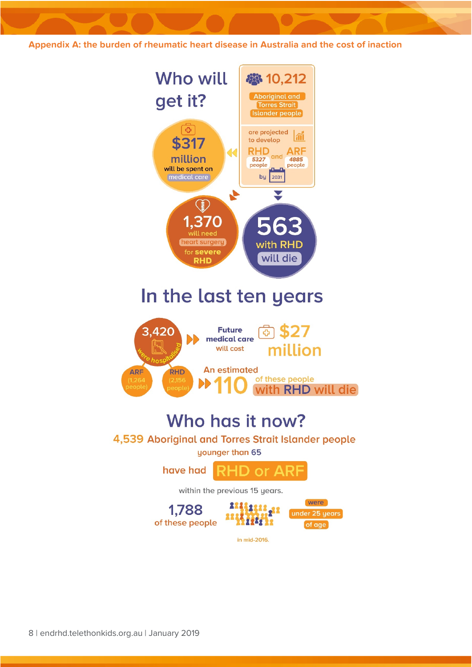**Appendix A: the burden of rheumatic heart disease in Australia and the cost of inaction** 

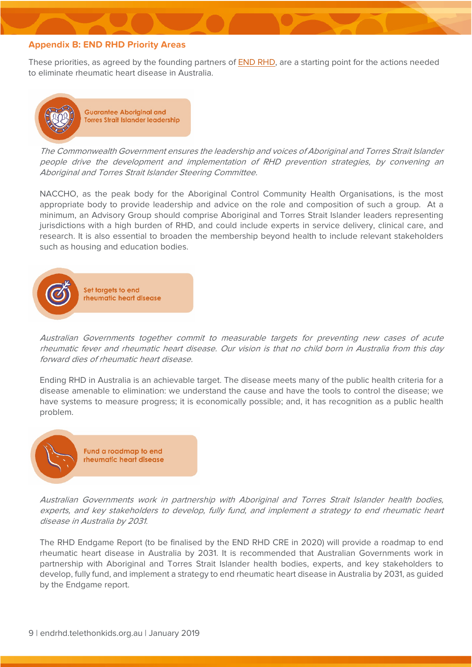## **Appendix B: END RHD Priority Areas**

These priorities, as agreed by the founding partners of [END RHD,](http://www.endrhd.org.au/) are a starting point for the actions needed to eliminate rheumatic heart disease in Australia.



The Commonwealth Government ensures the leadership and voices of Aboriginal and Torres Strait Islander people drive the development and implementation of RHD prevention strategies, by convening an Aboriginal and Torres Strait Islander Steering Committee.

NACCHO, as the peak body for the Aboriginal Control Community Health Organisations, is the most appropriate body to provide leadership and advice on the role and composition of such a group. At a minimum, an Advisory Group should comprise Aboriginal and Torres Strait Islander leaders representing jurisdictions with a high burden of RHD, and could include experts in service delivery, clinical care, and research. It is also essential to broaden the membership beyond health to include relevant stakeholders such as housing and education bodies.



Australian Governments together commit to measurable targets for preventing new cases of acute rheumatic fever and rheumatic heart disease. Our vision is that no child born in Australia from this day forward dies of rheumatic heart disease.

Ending RHD in Australia is an achievable target. The disease meets many of the public health criteria for a disease amenable to elimination: we understand the cause and have the tools to control the disease; we have systems to measure progress; it is economically possible; and, it has recognition as a public health problem.



Australian Governments work in partnership with Aboriginal and Torres Strait Islander health bodies, experts, and key stakeholders to develop, fully fund, and implement a strategy to end rheumatic heart disease in Australia by 2031.

The RHD Endgame Report (to be finalised by the END RHD CRE in 2020) will provide a roadmap to end rheumatic heart disease in Australia by 2031. It is recommended that Australian Governments work in partnership with Aboriginal and Torres Strait Islander health bodies, experts, and key stakeholders to develop, fully fund, and implement a strategy to end rheumatic heart disease in Australia by 2031, as guided by the Endgame report.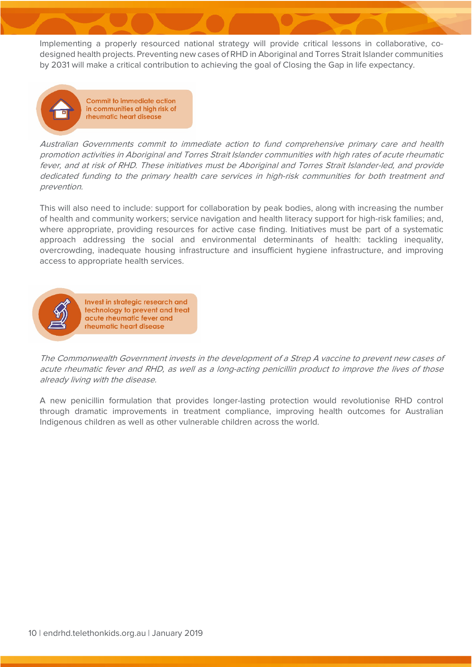Implementing a properly resourced national strategy will provide critical lessons in collaborative, codesigned health projects. Preventing new cases of RHD in Aboriginal and Torres Strait Islander communities by 2031 will make a critical contribution to achieving the goal of Closing the Gap in life expectancy.



**Commit to immediate action** in communities at high risk of rheumatic heart disease

Australian Governments commit to immediate action to fund comprehensive primary care and health promotion activities in Aboriginal and Torres Strait Islander communities with high rates of acute rheumatic fever, and at risk of RHD. These initiatives must be Aboriginal and Torres Strait Islander-led, and provide dedicated funding to the primary health care services in high-risk communities for both treatment and prevention.

This will also need to include: support for collaboration by peak bodies, along with increasing the number of health and community workers; service navigation and health literacy support for high-risk families; and, where appropriate, providing resources for active case finding. Initiatives must be part of a systematic approach addressing the social and environmental determinants of health: tackling inequality, overcrowding, inadequate housing infrastructure and insufficient hygiene infrastructure, and improving access to appropriate health services.



Invest in strategic research and technology to prevent and treat acute rheumatic fever and rheumatic heart disease

The Commonwealth Government invests in the development of a Strep A vaccine to prevent new cases of acute rheumatic fever and RHD, as well as a long-acting penicillin product to improve the lives of those already living with the disease.

A new penicillin formulation that provides longer-lasting protection would revolutionise RHD control through dramatic improvements in treatment compliance, improving health outcomes for Australian Indigenous children as well as other vulnerable children across the world.